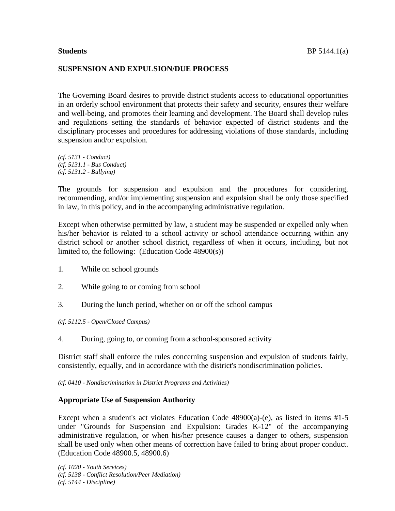#### **SUSPENSION AND EXPULSION/DUE PROCESS**

The Governing Board desires to provide district students access to educational opportunities in an orderly school environment that protects their safety and security, ensures their welfare and well-being, and promotes their learning and development. The Board shall develop rules and regulations setting the standards of behavior expected of district students and the disciplinary processes and procedures for addressing violations of those standards, including suspension and/or expulsion.

*(cf. 5131 - Conduct) (cf. 5131.1 - Bus Conduct) (cf. 5131.2 - Bullying)*

The grounds for suspension and expulsion and the procedures for considering, recommending, and/or implementing suspension and expulsion shall be only those specified in law, in this policy, and in the accompanying administrative regulation.

Except when otherwise permitted by law, a student may be suspended or expelled only when his/her behavior is related to a school activity or school attendance occurring within any district school or another school district, regardless of when it occurs, including, but not limited to, the following: (Education Code 48900(s))

- 1. While on school grounds
- 2. While going to or coming from school
- 3. During the lunch period, whether on or off the school campus

*(cf. 5112.5 - Open/Closed Campus)*

4. During, going to, or coming from a school-sponsored activity

District staff shall enforce the rules concerning suspension and expulsion of students fairly, consistently, equally, and in accordance with the district's nondiscrimination policies.

*(cf. 0410 - Nondiscrimination in District Programs and Activities)*

#### **Appropriate Use of Suspension Authority**

Except when a student's act violates Education Code  $48900(a)$ -(e), as listed in items  $#1-5$ under "Grounds for Suspension and Expulsion: Grades K-12" of the accompanying administrative regulation, or when his/her presence causes a danger to others, suspension shall be used only when other means of correction have failed to bring about proper conduct. (Education Code 48900.5, 48900.6)

*(cf. 1020 - Youth Services) (cf. 5138 - Conflict Resolution/Peer Mediation) (cf. 5144 - Discipline)*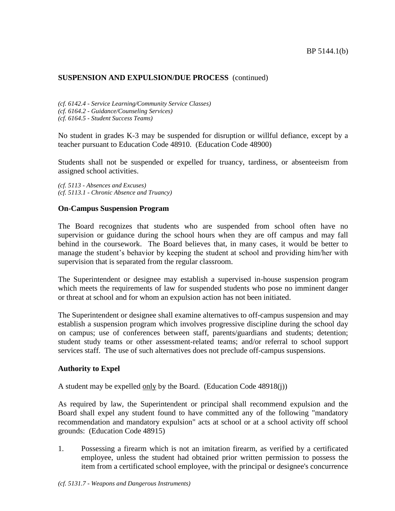*(cf. 6142.4 - Service Learning/Community Service Classes) (cf. 6164.2 - Guidance/Counseling Services)*

*(cf. 6164.5 - Student Success Teams)*

No student in grades K-3 may be suspended for disruption or willful defiance, except by a teacher pursuant to Education Code 48910. (Education Code 48900)

Students shall not be suspended or expelled for truancy, tardiness, or absenteeism from assigned school activities.

*(cf. 5113 - Absences and Excuses) (cf. 5113.1 - Chronic Absence and Truancy)*

## **On-Campus Suspension Program**

The Board recognizes that students who are suspended from school often have no supervision or guidance during the school hours when they are off campus and may fall behind in the coursework. The Board believes that, in many cases, it would be better to manage the student's behavior by keeping the student at school and providing him/her with supervision that is separated from the regular classroom.

The Superintendent or designee may establish a supervised in-house suspension program which meets the requirements of law for suspended students who pose no imminent danger or threat at school and for whom an expulsion action has not been initiated.

The Superintendent or designee shall examine alternatives to off-campus suspension and may establish a suspension program which involves progressive discipline during the school day on campus; use of conferences between staff, parents/guardians and students; detention; student study teams or other assessment-related teams; and/or referral to school support services staff. The use of such alternatives does not preclude off-campus suspensions.

## **Authority to Expel**

A student may be expelled only by the Board. (Education Code 48918(j))

As required by law, the Superintendent or principal shall recommend expulsion and the Board shall expel any student found to have committed any of the following "mandatory recommendation and mandatory expulsion" acts at school or at a school activity off school grounds: (Education Code 48915)

1. Possessing a firearm which is not an imitation firearm, as verified by a certificated employee, unless the student had obtained prior written permission to possess the item from a certificated school employee, with the principal or designee's concurrence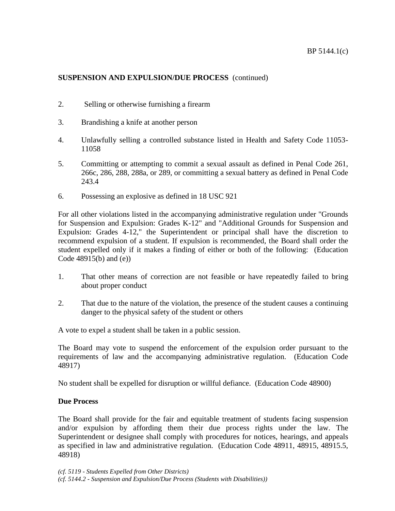- 2. Selling or otherwise furnishing a firearm
- 3. Brandishing a knife at another person
- 4. Unlawfully selling a controlled substance listed in Health and Safety Code 11053- 11058
- 5. Committing or attempting to commit a sexual assault as defined in Penal Code 261, 266c, 286, 288, 288a, or 289, or committing a sexual battery as defined in Penal Code 243.4
- 6. Possessing an explosive as defined in 18 USC 921

For all other violations listed in the accompanying administrative regulation under "Grounds for Suspension and Expulsion: Grades K-12" and "Additional Grounds for Suspension and Expulsion: Grades 4-12," the Superintendent or principal shall have the discretion to recommend expulsion of a student. If expulsion is recommended, the Board shall order the student expelled only if it makes a finding of either or both of the following: (Education Code 48915(b) and (e))

- 1. That other means of correction are not feasible or have repeatedly failed to bring about proper conduct
- 2. That due to the nature of the violation, the presence of the student causes a continuing danger to the physical safety of the student or others

A vote to expel a student shall be taken in a public session.

The Board may vote to suspend the enforcement of the expulsion order pursuant to the requirements of law and the accompanying administrative regulation. (Education Code 48917)

No student shall be expelled for disruption or willful defiance. (Education Code 48900)

# **Due Process**

The Board shall provide for the fair and equitable treatment of students facing suspension and/or expulsion by affording them their due process rights under the law. The Superintendent or designee shall comply with procedures for notices, hearings, and appeals as specified in law and administrative regulation. (Education Code 48911, 48915, 48915.5, 48918)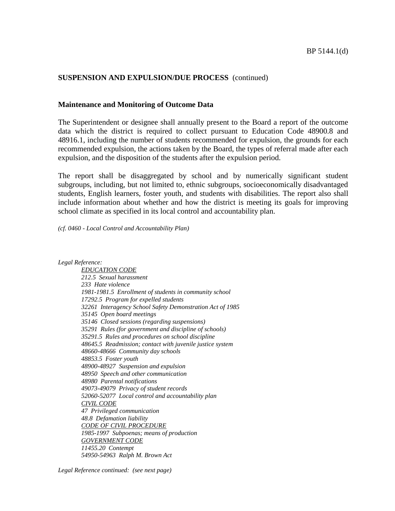#### **Maintenance and Monitoring of Outcome Data**

The Superintendent or designee shall annually present to the Board a report of the outcome data which the district is required to collect pursuant to Education Code 48900.8 and 48916.1, including the number of students recommended for expulsion, the grounds for each recommended expulsion, the actions taken by the Board, the types of referral made after each expulsion, and the disposition of the students after the expulsion period.

The report shall be disaggregated by school and by numerically significant student subgroups, including, but not limited to, ethnic subgroups, socioeconomically disadvantaged students, English learners, foster youth, and students with disabilities. The report also shall include information about whether and how the district is meeting its goals for improving school climate as specified in its local control and accountability plan.

*(cf. 0460 - Local Control and Accountability Plan)*

*Legal Reference:*

*EDUCATION CODE 212.5 Sexual harassment 233 Hate violence 1981-1981.5 Enrollment of students in community school 17292.5 Program for expelled students 32261 Interagency School Safety Demonstration Act of 1985 35145 Open board meetings 35146 Closed sessions (regarding suspensions) 35291 Rules (for government and discipline of schools) 35291.5 Rules and procedures on school discipline 48645.5 Readmission; contact with juvenile justice system 48660-48666 Community day schools 48853.5 Foster youth 48900-48927 Suspension and expulsion 48950 Speech and other communication 48980 Parental notifications 49073-49079 Privacy of student records 52060-52077 Local control and accountability plan CIVIL CODE 47 Privileged communication 48.8 Defamation liability CODE OF CIVIL PROCEDURE 1985-1997 Subpoenas; means of production GOVERNMENT CODE 11455.20 Contempt 54950-54963 Ralph M. Brown Act*

*Legal Reference continued: (see next page)*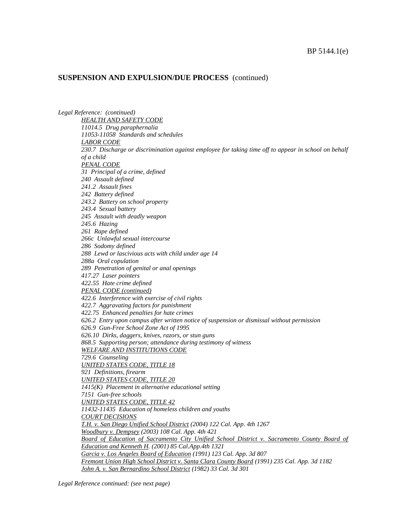*Legal Reference: (continued) HEALTH AND SAFETY CODE 11014.5 Drug paraphernalia 11053-11058 Standards and schedules LABOR CODE 230.7 Discharge or discrimination against employee for taking time off to appear in school on behalf of a child PENAL CODE 31 Principal of a crime, defined 240 Assault defined 241.2 Assault fines 242 Battery defined 243.2 Battery on school property 243.4 Sexual battery 245 Assault with deadly weapon 245.6 Hazing 261 Rape defined 266c Unlawful sexual intercourse 286 Sodomy defined 288 Lewd or lascivious acts with child under age 14 288a Oral copulation 289 Penetration of genital or anal openings 417.27 Laser pointers 422.55 Hate crime defined PENAL CODE (continued) 422.6 Interference with exercise of civil rights 422.7 Aggravating factors for punishment 422.75 Enhanced penalties for hate crimes 626.2 Entry upon campus after written notice of suspension or dismissal without permission 626.9 Gun-Free School Zone Act of 1995 626.10 Dirks, daggers, knives, razors, or stun guns 868.5 Supporting person; attendance during testimony of witness WELFARE AND INSTITUTIONS CODE 729.6 Counseling UNITED STATES CODE, TITLE 18 921 Definitions, firearm UNITED STATES CODE, TITLE 20 1415(K) Placement in alternative educational setting 7151 Gun-free schools UNITED STATES CODE, TITLE 42 11432-11435 Education of homeless children and youths COURT DECISIONS T.H. v. San Diego Unified School District (2004) 122 Cal. App. 4th 1267 Woodbury v. Dempsey (2003) 108 Cal. App. 4th 421* Board of Education of Sacramento City Unified School District v. Sacramento County Board of *Education and Kenneth H. (2001) 85 Cal.App.4th 1321 Garcia v. Los Angeles Board of Education (1991) 123 Cal. App. 3d 807 Fremont Union High School District v. Santa Clara County Board (1991) 235 Cal. App. 3d 1182 John A. v. San Bernardino School District (1982) 33 Cal. 3d 301*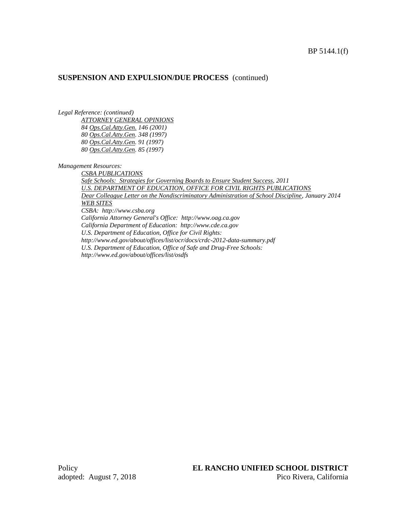#### BP 5144.1(f)

#### **SUSPENSION AND EXPULSION/DUE PROCESS** (continued)

*Legal Reference: (continued)*

*ATTORNEY GENERAL OPINIONS 84 Ops.Cal.Atty.Gen. 146 (2001) 80 Ops.Cal.Atty.Gen. 348 (1997) 80 Ops.Cal.Atty.Gen. 91 (1997) 80 Ops.Cal.Atty.Gen. 85 (1997)*

*Management Resources:*

*CSBA PUBLICATIONS Safe Schools: Strategies for Governing Boards to Ensure Student Success, 2011 U.S. DEPARTMENT OF EDUCATION, OFFICE FOR CIVIL RIGHTS PUBLICATIONS Dear Colleague Letter on the Nondiscriminatory Administration of School Discipline, January 2014 WEB SITES CSBA: http://www.csba.org California Attorney General's Office: http://www.oag.ca.gov California Department of Education: http://www.cde.ca.gov U.S. Department of Education, Office for Civil Rights: http://www.ed.gov/about/offices/list/ocr/docs/crdc-2012-data-summary.pdf U.S. Department of Education, Office of Safe and Drug-Free Schools: http://www.ed.gov/about/offices/list/osdfs*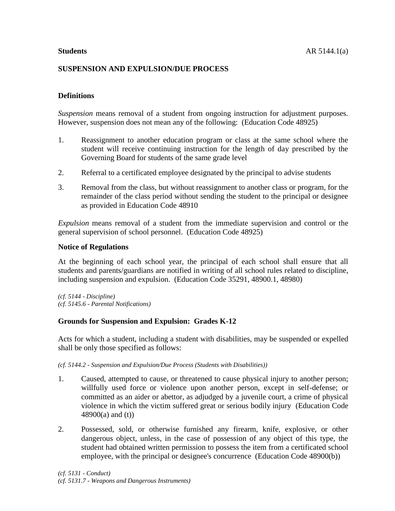# **SUSPENSION AND EXPULSION/DUE PROCESS**

# **Definitions**

*Suspension* means removal of a student from ongoing instruction for adjustment purposes. However, suspension does not mean any of the following: (Education Code 48925)

- 1. Reassignment to another education program or class at the same school where the student will receive continuing instruction for the length of day prescribed by the Governing Board for students of the same grade level
- 2. Referral to a certificated employee designated by the principal to advise students
- 3. Removal from the class, but without reassignment to another class or program, for the remainder of the class period without sending the student to the principal or designee as provided in Education Code 48910

*Expulsion* means removal of a student from the immediate supervision and control or the general supervision of school personnel. (Education Code 48925)

## **Notice of Regulations**

At the beginning of each school year, the principal of each school shall ensure that all students and parents/guardians are notified in writing of all school rules related to discipline, including suspension and expulsion. (Education Code 35291, 48900.1, 48980)

*(cf. 5144 - Discipline) (cf. 5145.6 - Parental Notifications)*

## **Grounds for Suspension and Expulsion: Grades K-12**

Acts for which a student, including a student with disabilities, may be suspended or expelled shall be only those specified as follows:

*(cf. 5144.2 - Suspension and Expulsion/Due Process (Students with Disabilities))*

- 1. Caused, attempted to cause, or threatened to cause physical injury to another person; willfully used force or violence upon another person, except in self-defense; or committed as an aider or abettor, as adjudged by a juvenile court, a crime of physical violence in which the victim suffered great or serious bodily injury (Education Code 48900(a) and (t))
- 2. Possessed, sold, or otherwise furnished any firearm, knife, explosive, or other dangerous object, unless, in the case of possession of any object of this type, the student had obtained written permission to possess the item from a certificated school employee, with the principal or designee's concurrence (Education Code 48900(b))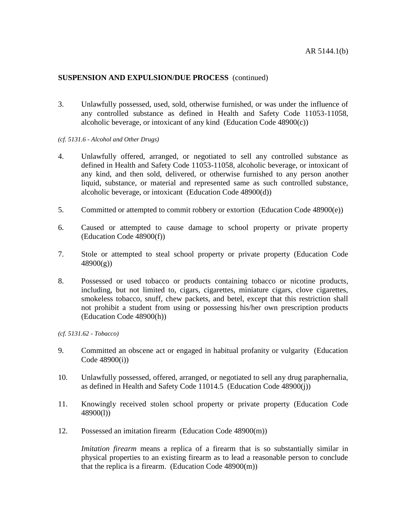3. Unlawfully possessed, used, sold, otherwise furnished, or was under the influence of any controlled substance as defined in Health and Safety Code 11053-11058, alcoholic beverage, or intoxicant of any kind (Education Code 48900(c))

#### *(cf. 5131.6 - Alcohol and Other Drugs)*

- 4. Unlawfully offered, arranged, or negotiated to sell any controlled substance as defined in Health and Safety Code 11053-11058, alcoholic beverage, or intoxicant of any kind, and then sold, delivered, or otherwise furnished to any person another liquid, substance, or material and represented same as such controlled substance, alcoholic beverage, or intoxicant (Education Code 48900(d))
- 5. Committed or attempted to commit robbery or extortion (Education Code 48900(e))
- 6. Caused or attempted to cause damage to school property or private property (Education Code 48900(f))
- 7. Stole or attempted to steal school property or private property (Education Code  $48900(g)$
- 8. Possessed or used tobacco or products containing tobacco or nicotine products, including, but not limited to, cigars, cigarettes, miniature cigars, clove cigarettes, smokeless tobacco, snuff, chew packets, and betel, except that this restriction shall not prohibit a student from using or possessing his/her own prescription products (Education Code 48900(h))

*(cf. 5131.62 - Tobacco)*

- 9. Committed an obscene act or engaged in habitual profanity or vulgarity (Education Code 48900(i))
- 10. Unlawfully possessed, offered, arranged, or negotiated to sell any drug paraphernalia, as defined in Health and Safety Code 11014.5 (Education Code 48900(j))
- 11. Knowingly received stolen school property or private property (Education Code 48900(l))
- 12. Possessed an imitation firearm (Education Code 48900(m))

*Imitation firearm* means a replica of a firearm that is so substantially similar in physical properties to an existing firearm as to lead a reasonable person to conclude that the replica is a firearm. (Education Code 48900(m))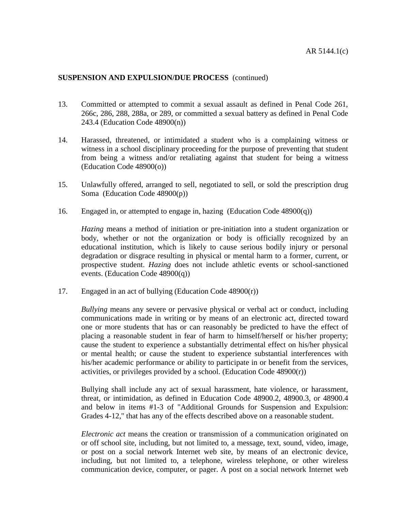- 13. Committed or attempted to commit a sexual assault as defined in Penal Code 261, 266c, 286, 288, 288a, or 289, or committed a sexual battery as defined in Penal Code 243.4 (Education Code 48900(n))
- 14. Harassed, threatened, or intimidated a student who is a complaining witness or witness in a school disciplinary proceeding for the purpose of preventing that student from being a witness and/or retaliating against that student for being a witness (Education Code 48900(o))
- 15. Unlawfully offered, arranged to sell, negotiated to sell, or sold the prescription drug Soma (Education Code 48900(p))
- 16. Engaged in, or attempted to engage in, hazing (Education Code 48900(q))

*Hazing* means a method of initiation or pre-initiation into a student organization or body, whether or not the organization or body is officially recognized by an educational institution, which is likely to cause serious bodily injury or personal degradation or disgrace resulting in physical or mental harm to a former, current, or prospective student. *Hazing* does not include athletic events or school-sanctioned events. (Education Code 48900(q))

17. Engaged in an act of bullying (Education Code 48900(r))

*Bullying* means any severe or pervasive physical or verbal act or conduct, including communications made in writing or by means of an electronic act, directed toward one or more students that has or can reasonably be predicted to have the effect of placing a reasonable student in fear of harm to himself/herself or his/her property; cause the student to experience a substantially detrimental effect on his/her physical or mental health; or cause the student to experience substantial interferences with his/her academic performance or ability to participate in or benefit from the services, activities, or privileges provided by a school. (Education Code 48900(r))

Bullying shall include any act of sexual harassment, hate violence, or harassment, threat, or intimidation, as defined in Education Code 48900.2, 48900.3, or 48900.4 and below in items #1-3 of "Additional Grounds for Suspension and Expulsion: Grades 4-12," that has any of the effects described above on a reasonable student.

*Electronic act* means the creation or transmission of a communication originated on or off school site, including, but not limited to, a message, text, sound, video, image, or post on a social network Internet web site, by means of an electronic device, including, but not limited to, a telephone, wireless telephone, or other wireless communication device, computer, or pager. A post on a social network Internet web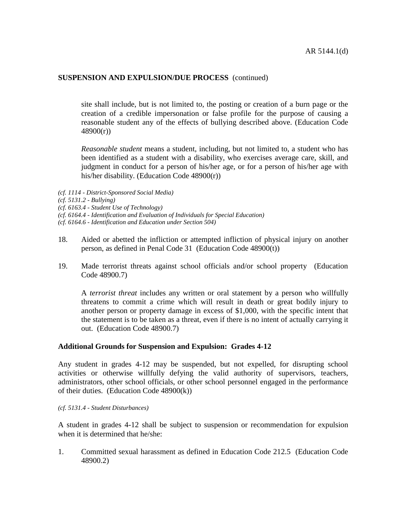site shall include, but is not limited to, the posting or creation of a burn page or the creation of a credible impersonation or false profile for the purpose of causing a reasonable student any of the effects of bullying described above. (Education Code 48900(r))

*Reasonable student* means a student, including, but not limited to, a student who has been identified as a student with a disability, who exercises average care, skill, and judgment in conduct for a person of his/her age, or for a person of his/her age with his/her disability. (Education Code 48900(r))

*(cf. 1114 - District-Sponsored Social Media)*

*(cf. 6164.4 - Identification and Evaluation of Individuals for Special Education)*

- 18. Aided or abetted the infliction or attempted infliction of physical injury on another person, as defined in Penal Code 31 (Education Code 48900(t))
- 19. Made terrorist threats against school officials and/or school property (Education Code 48900.7)

A *terrorist threat* includes any written or oral statement by a person who willfully threatens to commit a crime which will result in death or great bodily injury to another person or property damage in excess of \$1,000, with the specific intent that the statement is to be taken as a threat, even if there is no intent of actually carrying it out. (Education Code 48900.7)

## **Additional Grounds for Suspension and Expulsion: Grades 4-12**

Any student in grades 4-12 may be suspended, but not expelled, for disrupting school activities or otherwise willfully defying the valid authority of supervisors, teachers, administrators, other school officials, or other school personnel engaged in the performance of their duties. (Education Code  $48900(k)$ )

*(cf. 5131.4 - Student Disturbances)*

A student in grades 4-12 shall be subject to suspension or recommendation for expulsion when it is determined that he/she:

1. Committed sexual harassment as defined in Education Code 212.5 (Education Code 48900.2)

*<sup>(</sup>cf. 5131.2 - Bullying)*

*<sup>(</sup>cf. 6163.4 - Student Use of Technology)*

*<sup>(</sup>cf. 6164.6 - Identification and Education under Section 504)*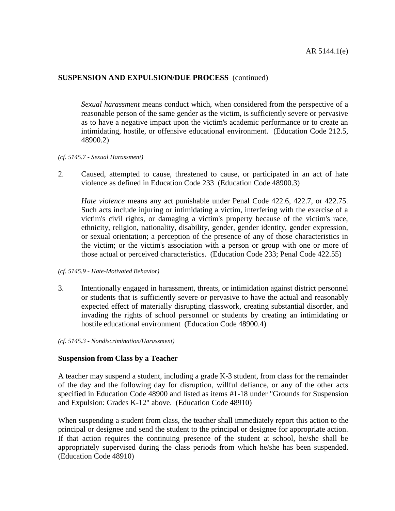*Sexual harassment* means conduct which, when considered from the perspective of a reasonable person of the same gender as the victim, is sufficiently severe or pervasive as to have a negative impact upon the victim's academic performance or to create an intimidating, hostile, or offensive educational environment. (Education Code 212.5, 48900.2)

#### *(cf. 5145.7 - Sexual Harassment)*

2. Caused, attempted to cause, threatened to cause, or participated in an act of hate violence as defined in Education Code 233 (Education Code 48900.3)

*Hate violence* means any act punishable under Penal Code 422.6, 422.7, or 422.75. Such acts include injuring or intimidating a victim, interfering with the exercise of a victim's civil rights, or damaging a victim's property because of the victim's race, ethnicity, religion, nationality, disability, gender, gender identity, gender expression, or sexual orientation; a perception of the presence of any of those characteristics in the victim; or the victim's association with a person or group with one or more of those actual or perceived characteristics. (Education Code 233; Penal Code 422.55)

- *(cf. 5145.9 - Hate-Motivated Behavior)*
- 3. Intentionally engaged in harassment, threats, or intimidation against district personnel or students that is sufficiently severe or pervasive to have the actual and reasonably expected effect of materially disrupting classwork, creating substantial disorder, and invading the rights of school personnel or students by creating an intimidating or hostile educational environment (Education Code 48900.4)
- *(cf. 5145.3 - Nondiscrimination/Harassment)*

#### **Suspension from Class by a Teacher**

A teacher may suspend a student, including a grade K-3 student, from class for the remainder of the day and the following day for disruption, willful defiance, or any of the other acts specified in Education Code 48900 and listed as items #1-18 under "Grounds for Suspension and Expulsion: Grades K-12" above. (Education Code 48910)

When suspending a student from class, the teacher shall immediately report this action to the principal or designee and send the student to the principal or designee for appropriate action. If that action requires the continuing presence of the student at school, he/she shall be appropriately supervised during the class periods from which he/she has been suspended. (Education Code 48910)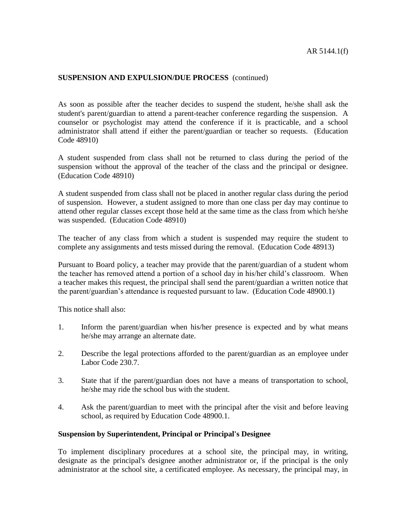As soon as possible after the teacher decides to suspend the student, he/she shall ask the student's parent/guardian to attend a parent-teacher conference regarding the suspension. A counselor or psychologist may attend the conference if it is practicable, and a school administrator shall attend if either the parent/guardian or teacher so requests. (Education Code 48910)

A student suspended from class shall not be returned to class during the period of the suspension without the approval of the teacher of the class and the principal or designee. (Education Code 48910)

A student suspended from class shall not be placed in another regular class during the period of suspension. However, a student assigned to more than one class per day may continue to attend other regular classes except those held at the same time as the class from which he/she was suspended. (Education Code 48910)

The teacher of any class from which a student is suspended may require the student to complete any assignments and tests missed during the removal. (Education Code 48913)

Pursuant to Board policy, a teacher may provide that the parent/guardian of a student whom the teacher has removed attend a portion of a school day in his/her child's classroom. When a teacher makes this request, the principal shall send the parent/guardian a written notice that the parent/guardian's attendance is requested pursuant to law. (Education Code 48900.1)

This notice shall also:

- 1. Inform the parent/guardian when his/her presence is expected and by what means he/she may arrange an alternate date.
- 2. Describe the legal protections afforded to the parent/guardian as an employee under Labor Code 230.7.
- 3. State that if the parent/guardian does not have a means of transportation to school, he/she may ride the school bus with the student.
- 4. Ask the parent/guardian to meet with the principal after the visit and before leaving school, as required by Education Code 48900.1.

#### **Suspension by Superintendent, Principal or Principal's Designee**

To implement disciplinary procedures at a school site, the principal may, in writing, designate as the principal's designee another administrator or, if the principal is the only administrator at the school site, a certificated employee. As necessary, the principal may, in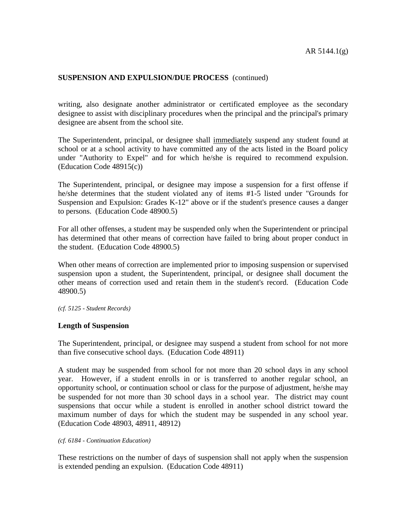writing, also designate another administrator or certificated employee as the secondary designee to assist with disciplinary procedures when the principal and the principal's primary designee are absent from the school site.

The Superintendent, principal, or designee shall immediately suspend any student found at school or at a school activity to have committed any of the acts listed in the Board policy under "Authority to Expel" and for which he/she is required to recommend expulsion. (Education Code 48915(c))

The Superintendent, principal, or designee may impose a suspension for a first offense if he/she determines that the student violated any of items #1-5 listed under "Grounds for Suspension and Expulsion: Grades K-12" above or if the student's presence causes a danger to persons. (Education Code 48900.5)

For all other offenses, a student may be suspended only when the Superintendent or principal has determined that other means of correction have failed to bring about proper conduct in the student. (Education Code 48900.5)

When other means of correction are implemented prior to imposing suspension or supervised suspension upon a student, the Superintendent, principal, or designee shall document the other means of correction used and retain them in the student's record. (Education Code 48900.5)

*(cf. 5125 - Student Records)*

## **Length of Suspension**

The Superintendent, principal, or designee may suspend a student from school for not more than five consecutive school days. (Education Code 48911)

A student may be suspended from school for not more than 20 school days in any school year. However, if a student enrolls in or is transferred to another regular school, an opportunity school, or continuation school or class for the purpose of adjustment, he/she may be suspended for not more than 30 school days in a school year. The district may count suspensions that occur while a student is enrolled in another school district toward the maximum number of days for which the student may be suspended in any school year. (Education Code 48903, 48911, 48912)

#### *(cf. 6184 - Continuation Education)*

These restrictions on the number of days of suspension shall not apply when the suspension is extended pending an expulsion. (Education Code 48911)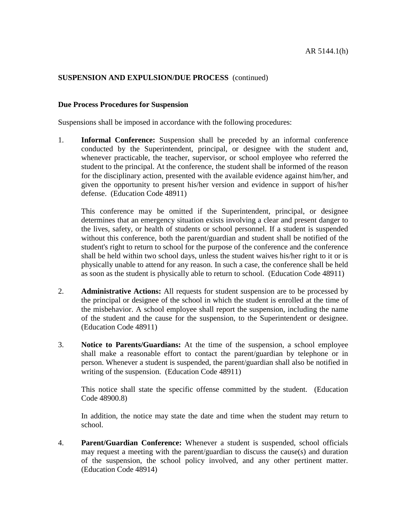#### **Due Process Procedures for Suspension**

Suspensions shall be imposed in accordance with the following procedures:

1. **Informal Conference:** Suspension shall be preceded by an informal conference conducted by the Superintendent, principal, or designee with the student and, whenever practicable, the teacher, supervisor, or school employee who referred the student to the principal. At the conference, the student shall be informed of the reason for the disciplinary action, presented with the available evidence against him/her, and given the opportunity to present his/her version and evidence in support of his/her defense. (Education Code 48911)

This conference may be omitted if the Superintendent, principal, or designee determines that an emergency situation exists involving a clear and present danger to the lives, safety, or health of students or school personnel. If a student is suspended without this conference, both the parent/guardian and student shall be notified of the student's right to return to school for the purpose of the conference and the conference shall be held within two school days, unless the student waives his/her right to it or is physically unable to attend for any reason. In such a case, the conference shall be held as soon as the student is physically able to return to school. (Education Code 48911)

- 2. **Administrative Actions:** All requests for student suspension are to be processed by the principal or designee of the school in which the student is enrolled at the time of the misbehavior. A school employee shall report the suspension, including the name of the student and the cause for the suspension, to the Superintendent or designee. (Education Code 48911)
- 3. **Notice to Parents/Guardians:** At the time of the suspension, a school employee shall make a reasonable effort to contact the parent/guardian by telephone or in person. Whenever a student is suspended, the parent/guardian shall also be notified in writing of the suspension. (Education Code 48911)

This notice shall state the specific offense committed by the student. (Education Code 48900.8)

In addition, the notice may state the date and time when the student may return to school.

4. **Parent/Guardian Conference:** Whenever a student is suspended, school officials may request a meeting with the parent/guardian to discuss the cause(s) and duration of the suspension, the school policy involved, and any other pertinent matter. (Education Code 48914)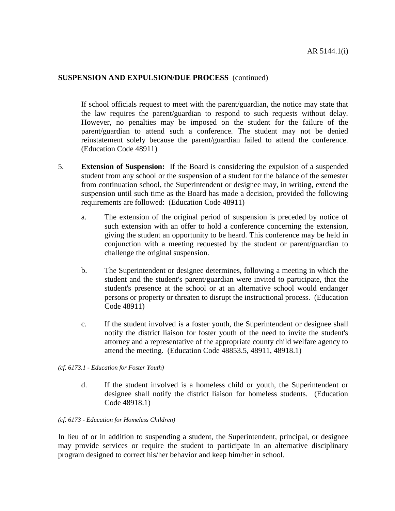If school officials request to meet with the parent/guardian, the notice may state that the law requires the parent/guardian to respond to such requests without delay. However, no penalties may be imposed on the student for the failure of the parent/guardian to attend such a conference. The student may not be denied reinstatement solely because the parent/guardian failed to attend the conference. (Education Code 48911)

- 5. **Extension of Suspension:** If the Board is considering the expulsion of a suspended student from any school or the suspension of a student for the balance of the semester from continuation school, the Superintendent or designee may, in writing, extend the suspension until such time as the Board has made a decision, provided the following requirements are followed: (Education Code 48911)
	- a. The extension of the original period of suspension is preceded by notice of such extension with an offer to hold a conference concerning the extension, giving the student an opportunity to be heard. This conference may be held in conjunction with a meeting requested by the student or parent/guardian to challenge the original suspension.
	- b. The Superintendent or designee determines, following a meeting in which the student and the student's parent/guardian were invited to participate, that the student's presence at the school or at an alternative school would endanger persons or property or threaten to disrupt the instructional process. (Education Code 48911)
	- c. If the student involved is a foster youth, the Superintendent or designee shall notify the district liaison for foster youth of the need to invite the student's attorney and a representative of the appropriate county child welfare agency to attend the meeting. (Education Code 48853.5, 48911, 48918.1)

#### *(cf. 6173.1 - Education for Foster Youth)*

d. If the student involved is a homeless child or youth, the Superintendent or designee shall notify the district liaison for homeless students. (Education Code 48918.1)

#### *(cf. 6173 - Education for Homeless Children)*

In lieu of or in addition to suspending a student, the Superintendent, principal, or designee may provide services or require the student to participate in an alternative disciplinary program designed to correct his/her behavior and keep him/her in school.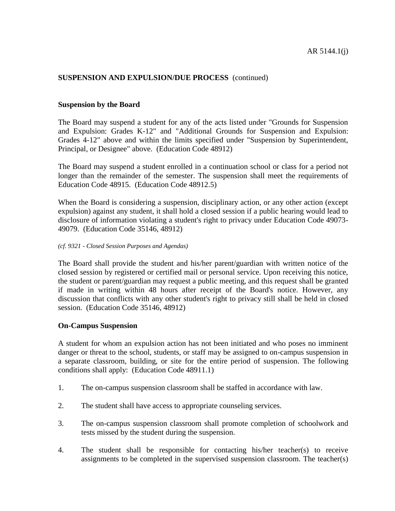#### **Suspension by the Board**

The Board may suspend a student for any of the acts listed under "Grounds for Suspension and Expulsion: Grades K-12" and "Additional Grounds for Suspension and Expulsion: Grades 4-12" above and within the limits specified under "Suspension by Superintendent, Principal, or Designee" above. (Education Code 48912)

The Board may suspend a student enrolled in a continuation school or class for a period not longer than the remainder of the semester. The suspension shall meet the requirements of Education Code 48915. (Education Code 48912.5)

When the Board is considering a suspension, disciplinary action, or any other action (except expulsion) against any student, it shall hold a closed session if a public hearing would lead to disclosure of information violating a student's right to privacy under Education Code 49073- 49079. (Education Code 35146, 48912)

#### *(cf. 9321 - Closed Session Purposes and Agendas)*

The Board shall provide the student and his/her parent/guardian with written notice of the closed session by registered or certified mail or personal service. Upon receiving this notice, the student or parent/guardian may request a public meeting, and this request shall be granted if made in writing within 48 hours after receipt of the Board's notice. However, any discussion that conflicts with any other student's right to privacy still shall be held in closed session. (Education Code 35146, 48912)

#### **On-Campus Suspension**

A student for whom an expulsion action has not been initiated and who poses no imminent danger or threat to the school, students, or staff may be assigned to on-campus suspension in a separate classroom, building, or site for the entire period of suspension. The following conditions shall apply: (Education Code 48911.1)

- 1. The on-campus suspension classroom shall be staffed in accordance with law.
- 2. The student shall have access to appropriate counseling services.
- 3. The on-campus suspension classroom shall promote completion of schoolwork and tests missed by the student during the suspension.
- 4. The student shall be responsible for contacting his/her teacher(s) to receive assignments to be completed in the supervised suspension classroom. The teacher(s)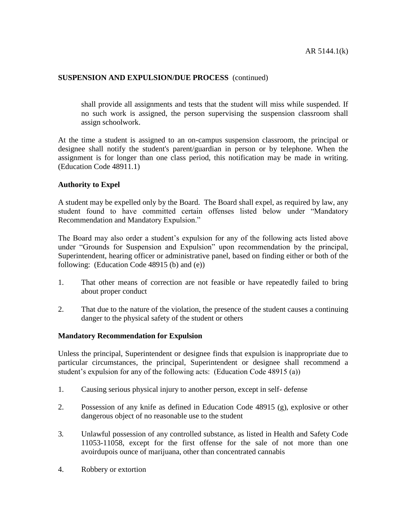shall provide all assignments and tests that the student will miss while suspended. If no such work is assigned, the person supervising the suspension classroom shall assign schoolwork.

At the time a student is assigned to an on-campus suspension classroom, the principal or designee shall notify the student's parent/guardian in person or by telephone. When the assignment is for longer than one class period, this notification may be made in writing. (Education Code 48911.1)

#### **Authority to Expel**

A student may be expelled only by the Board. The Board shall expel, as required by law, any student found to have committed certain offenses listed below under "Mandatory Recommendation and Mandatory Expulsion."

The Board may also order a student's expulsion for any of the following acts listed above under "Grounds for Suspension and Expulsion" upon recommendation by the principal, Superintendent, hearing officer or administrative panel, based on finding either or both of the following: (Education Code 48915 (b) and (e))

- 1. That other means of correction are not feasible or have repeatedly failed to bring about proper conduct
- 2. That due to the nature of the violation, the presence of the student causes a continuing danger to the physical safety of the student or others

#### **Mandatory Recommendation for Expulsion**

Unless the principal, Superintendent or designee finds that expulsion is inappropriate due to particular circumstances, the principal, Superintendent or designee shall recommend a student's expulsion for any of the following acts: (Education Code 48915 (a))

- 1. Causing serious physical injury to another person, except in self- defense
- 2. Possession of any knife as defined in Education Code 48915 (g), explosive or other dangerous object of no reasonable use to the student
- 3*.* Unlawful possession of any controlled substance, as listed in Health and Safety Code 11053-11058, except for the first offense for the sale of not more than one avoirdupois ounce of marijuana, other than concentrated cannabis
- 4. Robbery or extortion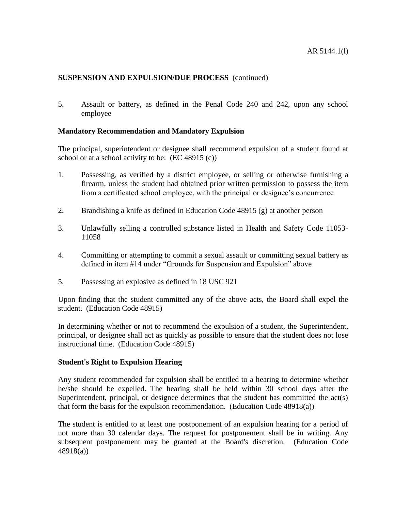5. Assault or battery, as defined in the Penal Code 240 and 242, upon any school employee

## **Mandatory Recommendation and Mandatory Expulsion**

The principal, superintendent or designee shall recommend expulsion of a student found at school or at a school activity to be: (EC 48915 (c))

- 1. Possessing, as verified by a district employee, or selling or otherwise furnishing a firearm, unless the student had obtained prior written permission to possess the item from a certificated school employee, with the principal or designee's concurrence
- 2. Brandishing a knife as defined in Education Code 48915 (g) at another person
- 3. Unlawfully selling a controlled substance listed in Health and Safety Code 11053- 11058
- 4. Committing or attempting to commit a sexual assault or committing sexual battery as defined in item #14 under "Grounds for Suspension and Expulsion" above
- 5. Possessing an explosive as defined in 18 USC 921

Upon finding that the student committed any of the above acts, the Board shall expel the student. (Education Code 48915)

In determining whether or not to recommend the expulsion of a student, the Superintendent, principal, or designee shall act as quickly as possible to ensure that the student does not lose instructional time. (Education Code 48915)

#### **Student's Right to Expulsion Hearing**

Any student recommended for expulsion shall be entitled to a hearing to determine whether he/she should be expelled. The hearing shall be held within 30 school days after the Superintendent, principal, or designee determines that the student has committed the act(s) that form the basis for the expulsion recommendation. (Education Code 48918(a))

The student is entitled to at least one postponement of an expulsion hearing for a period of not more than 30 calendar days. The request for postponement shall be in writing. Any subsequent postponement may be granted at the Board's discretion. (Education Code 48918(a))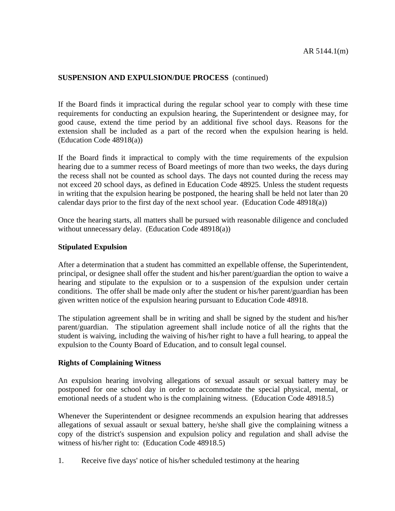If the Board finds it impractical during the regular school year to comply with these time requirements for conducting an expulsion hearing, the Superintendent or designee may, for good cause, extend the time period by an additional five school days. Reasons for the extension shall be included as a part of the record when the expulsion hearing is held. (Education Code 48918(a))

If the Board finds it impractical to comply with the time requirements of the expulsion hearing due to a summer recess of Board meetings of more than two weeks, the days during the recess shall not be counted as school days. The days not counted during the recess may not exceed 20 school days, as defined in Education Code 48925. Unless the student requests in writing that the expulsion hearing be postponed, the hearing shall be held not later than 20 calendar days prior to the first day of the next school year. (Education Code 48918(a))

Once the hearing starts, all matters shall be pursued with reasonable diligence and concluded without unnecessary delay. (Education Code 48918(a))

## **Stipulated Expulsion**

After a determination that a student has committed an expellable offense, the Superintendent, principal, or designee shall offer the student and his/her parent/guardian the option to waive a hearing and stipulate to the expulsion or to a suspension of the expulsion under certain conditions. The offer shall be made only after the student or his/her parent/guardian has been given written notice of the expulsion hearing pursuant to Education Code 48918.

The stipulation agreement shall be in writing and shall be signed by the student and his/her parent/guardian. The stipulation agreement shall include notice of all the rights that the student is waiving, including the waiving of his/her right to have a full hearing, to appeal the expulsion to the County Board of Education, and to consult legal counsel.

## **Rights of Complaining Witness**

An expulsion hearing involving allegations of sexual assault or sexual battery may be postponed for one school day in order to accommodate the special physical, mental, or emotional needs of a student who is the complaining witness. (Education Code 48918.5)

Whenever the Superintendent or designee recommends an expulsion hearing that addresses allegations of sexual assault or sexual battery, he/she shall give the complaining witness a copy of the district's suspension and expulsion policy and regulation and shall advise the witness of his/her right to: (Education Code 48918.5)

1. Receive five days' notice of his/her scheduled testimony at the hearing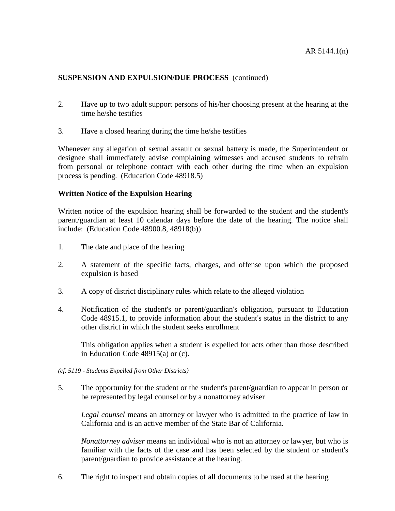- 2. Have up to two adult support persons of his/her choosing present at the hearing at the time he/she testifies
- 3. Have a closed hearing during the time he/she testifies

Whenever any allegation of sexual assault or sexual battery is made, the Superintendent or designee shall immediately advise complaining witnesses and accused students to refrain from personal or telephone contact with each other during the time when an expulsion process is pending. (Education Code 48918.5)

#### **Written Notice of the Expulsion Hearing**

Written notice of the expulsion hearing shall be forwarded to the student and the student's parent/guardian at least 10 calendar days before the date of the hearing. The notice shall include: (Education Code 48900.8, 48918(b))

- 1. The date and place of the hearing
- 2. A statement of the specific facts, charges, and offense upon which the proposed expulsion is based
- 3. A copy of district disciplinary rules which relate to the alleged violation
- 4. Notification of the student's or parent/guardian's obligation, pursuant to Education Code 48915.1, to provide information about the student's status in the district to any other district in which the student seeks enrollment

This obligation applies when a student is expelled for acts other than those described in Education Code 48915(a) or (c).

- *(cf. 5119 - Students Expelled from Other Districts)*
- 5. The opportunity for the student or the student's parent/guardian to appear in person or be represented by legal counsel or by a nonattorney adviser

*Legal counsel* means an attorney or lawyer who is admitted to the practice of law in California and is an active member of the State Bar of California.

*Nonattorney adviser* means an individual who is not an attorney or lawyer, but who is familiar with the facts of the case and has been selected by the student or student's parent/guardian to provide assistance at the hearing.

6. The right to inspect and obtain copies of all documents to be used at the hearing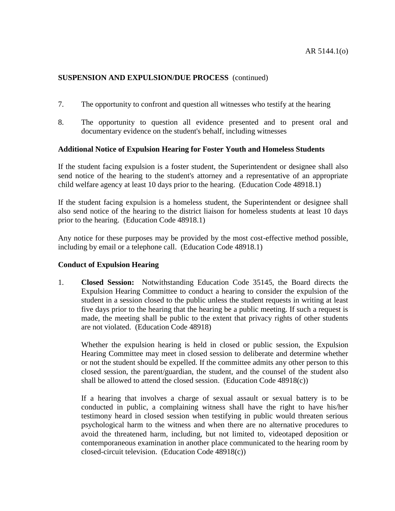- 7. The opportunity to confront and question all witnesses who testify at the hearing
- 8. The opportunity to question all evidence presented and to present oral and documentary evidence on the student's behalf, including witnesses

## **Additional Notice of Expulsion Hearing for Foster Youth and Homeless Students**

If the student facing expulsion is a foster student, the Superintendent or designee shall also send notice of the hearing to the student's attorney and a representative of an appropriate child welfare agency at least 10 days prior to the hearing. (Education Code 48918.1)

If the student facing expulsion is a homeless student, the Superintendent or designee shall also send notice of the hearing to the district liaison for homeless students at least 10 days prior to the hearing. (Education Code 48918.1)

Any notice for these purposes may be provided by the most cost-effective method possible, including by email or a telephone call. (Education Code 48918.1)

## **Conduct of Expulsion Hearing**

1. **Closed Session:** Notwithstanding Education Code 35145, the Board directs the Expulsion Hearing Committee to conduct a hearing to consider the expulsion of the student in a session closed to the public unless the student requests in writing at least five days prior to the hearing that the hearing be a public meeting. If such a request is made, the meeting shall be public to the extent that privacy rights of other students are not violated. (Education Code 48918)

Whether the expulsion hearing is held in closed or public session, the Expulsion Hearing Committee may meet in closed session to deliberate and determine whether or not the student should be expelled. If the committee admits any other person to this closed session, the parent/guardian, the student, and the counsel of the student also shall be allowed to attend the closed session. (Education Code 48918(c))

If a hearing that involves a charge of sexual assault or sexual battery is to be conducted in public, a complaining witness shall have the right to have his/her testimony heard in closed session when testifying in public would threaten serious psychological harm to the witness and when there are no alternative procedures to avoid the threatened harm, including, but not limited to, videotaped deposition or contemporaneous examination in another place communicated to the hearing room by closed-circuit television. (Education Code 48918(c))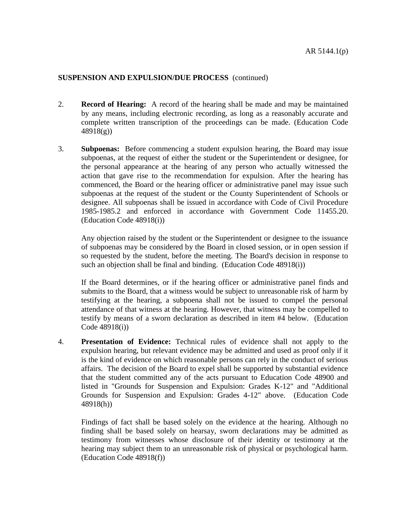- 2. **Record of Hearing:** A record of the hearing shall be made and may be maintained by any means, including electronic recording, as long as a reasonably accurate and complete written transcription of the proceedings can be made. (Education Code 48918(g))
- 3. **Subpoenas:** Before commencing a student expulsion hearing, the Board may issue subpoenas, at the request of either the student or the Superintendent or designee, for the personal appearance at the hearing of any person who actually witnessed the action that gave rise to the recommendation for expulsion. After the hearing has commenced, the Board or the hearing officer or administrative panel may issue such subpoenas at the request of the student or the County Superintendent of Schools or designee. All subpoenas shall be issued in accordance with Code of Civil Procedure 1985-1985.2 and enforced in accordance with Government Code 11455.20. (Education Code 48918(i))

Any objection raised by the student or the Superintendent or designee to the issuance of subpoenas may be considered by the Board in closed session, or in open session if so requested by the student, before the meeting. The Board's decision in response to such an objection shall be final and binding. (Education Code 48918(i))

If the Board determines, or if the hearing officer or administrative panel finds and submits to the Board, that a witness would be subject to unreasonable risk of harm by testifying at the hearing, a subpoena shall not be issued to compel the personal attendance of that witness at the hearing. However, that witness may be compelled to testify by means of a sworn declaration as described in item #4 below. (Education Code 48918(i))

4. **Presentation of Evidence:** Technical rules of evidence shall not apply to the expulsion hearing, but relevant evidence may be admitted and used as proof only if it is the kind of evidence on which reasonable persons can rely in the conduct of serious affairs. The decision of the Board to expel shall be supported by substantial evidence that the student committed any of the acts pursuant to Education Code 48900 and listed in "Grounds for Suspension and Expulsion: Grades K-12" and "Additional Grounds for Suspension and Expulsion: Grades 4-12" above. (Education Code 48918(h))

Findings of fact shall be based solely on the evidence at the hearing. Although no finding shall be based solely on hearsay, sworn declarations may be admitted as testimony from witnesses whose disclosure of their identity or testimony at the hearing may subject them to an unreasonable risk of physical or psychological harm. (Education Code 48918(f))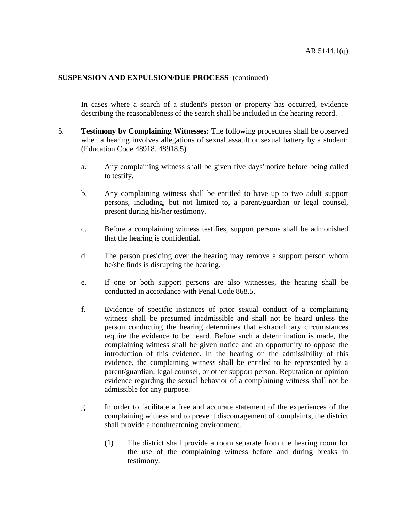In cases where a search of a student's person or property has occurred, evidence describing the reasonableness of the search shall be included in the hearing record.

- 5. **Testimony by Complaining Witnesses:** The following procedures shall be observed when a hearing involves allegations of sexual assault or sexual battery by a student: (Education Code 48918, 48918.5)
	- a. Any complaining witness shall be given five days' notice before being called to testify.
	- b. Any complaining witness shall be entitled to have up to two adult support persons, including, but not limited to, a parent/guardian or legal counsel, present during his/her testimony.
	- c. Before a complaining witness testifies, support persons shall be admonished that the hearing is confidential.
	- d. The person presiding over the hearing may remove a support person whom he/she finds is disrupting the hearing.
	- e. If one or both support persons are also witnesses, the hearing shall be conducted in accordance with Penal Code 868.5.
	- f. Evidence of specific instances of prior sexual conduct of a complaining witness shall be presumed inadmissible and shall not be heard unless the person conducting the hearing determines that extraordinary circumstances require the evidence to be heard. Before such a determination is made, the complaining witness shall be given notice and an opportunity to oppose the introduction of this evidence. In the hearing on the admissibility of this evidence, the complaining witness shall be entitled to be represented by a parent/guardian, legal counsel, or other support person. Reputation or opinion evidence regarding the sexual behavior of a complaining witness shall not be admissible for any purpose.
	- g. In order to facilitate a free and accurate statement of the experiences of the complaining witness and to prevent discouragement of complaints, the district shall provide a nonthreatening environment.
		- (1) The district shall provide a room separate from the hearing room for the use of the complaining witness before and during breaks in testimony.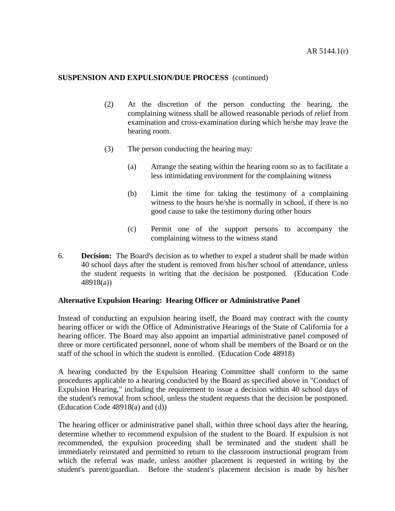- (2) At the discretion of the person conducting the hearing, the complaining witness shall be allowed reasonable periods of relief from examination and cross-examination during which he/she may leave the hearing room.
- (3) The person conducting the hearing may:
	- (a) Arrange the seating within the hearing room so as to facilitate a less intimidating environment for the complaining witness
	- (b) Limit the time for taking the testimony of a complaining witness to the hours he/she is normally in school, if there is no good cause to take the testimony during other hours
	- (c) Permit one of the support persons to accompany the complaining witness to the witness stand
- 6. **Decision:** The Board's decision as to whether to expel a student shall be made within 40 school days after the student is removed from his/her school of attendance, unless the student requests in writing that the decision be postponed. (Education Code 48918(a))

#### **Alternative Expulsion Hearing: Hearing Officer or Administrative Panel**

Instead of conducting an expulsion hearing itself, the Board may contract with the county hearing officer or with the Office of Administrative Hearings of the State of California for a hearing officer. The Board may also appoint an impartial administrative panel composed of three or more certificated personnel, none of whom shall be members of the Board or on the staff of the school in which the student is enrolled. (Education Code 48918)

A hearing conducted by the Expulsion Hearing Committee shall conform to the same procedures applicable to a hearing conducted by the Board as specified above in "Conduct of Expulsion Hearing," including the requirement to issue a decision within 40 school days of the student's removal from school, unless the student requests that the decision be postponed. (Education Code 48918(a) and (d))

The hearing officer or administrative panel shall, within three school days after the hearing, determine whether to recommend expulsion of the student to the Board. If expulsion is not recommended, the expulsion proceeding shall be terminated and the student shall be immediately reinstated and permitted to return to the classroom instructional program from which the referral was made, unless another placement is requested in writing by the student's parent/guardian. Before the student's placement decision is made by his/her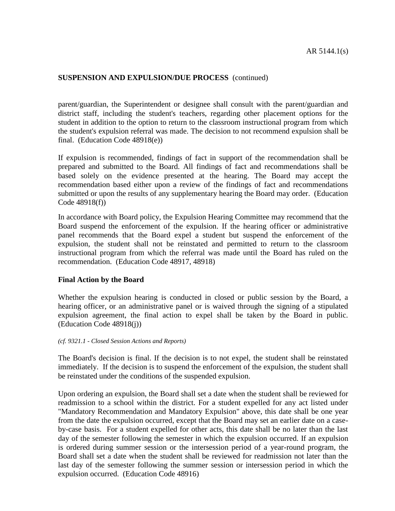parent/guardian, the Superintendent or designee shall consult with the parent/guardian and district staff, including the student's teachers, regarding other placement options for the student in addition to the option to return to the classroom instructional program from which the student's expulsion referral was made. The decision to not recommend expulsion shall be final. (Education Code 48918(e))

If expulsion is recommended, findings of fact in support of the recommendation shall be prepared and submitted to the Board. All findings of fact and recommendations shall be based solely on the evidence presented at the hearing. The Board may accept the recommendation based either upon a review of the findings of fact and recommendations submitted or upon the results of any supplementary hearing the Board may order. (Education Code 48918(f))

In accordance with Board policy, the Expulsion Hearing Committee may recommend that the Board suspend the enforcement of the expulsion. If the hearing officer or administrative panel recommends that the Board expel a student but suspend the enforcement of the expulsion, the student shall not be reinstated and permitted to return to the classroom instructional program from which the referral was made until the Board has ruled on the recommendation. (Education Code 48917, 48918)

## **Final Action by the Board**

Whether the expulsion hearing is conducted in closed or public session by the Board, a hearing officer, or an administrative panel or is waived through the signing of a stipulated expulsion agreement, the final action to expel shall be taken by the Board in public. (Education Code 48918(j))

#### *(cf. 9321.1 - Closed Session Actions and Reports)*

The Board's decision is final. If the decision is to not expel, the student shall be reinstated immediately. If the decision is to suspend the enforcement of the expulsion, the student shall be reinstated under the conditions of the suspended expulsion.

Upon ordering an expulsion, the Board shall set a date when the student shall be reviewed for readmission to a school within the district. For a student expelled for any act listed under "Mandatory Recommendation and Mandatory Expulsion" above, this date shall be one year from the date the expulsion occurred, except that the Board may set an earlier date on a caseby-case basis. For a student expelled for other acts, this date shall be no later than the last day of the semester following the semester in which the expulsion occurred. If an expulsion is ordered during summer session or the intersession period of a year-round program, the Board shall set a date when the student shall be reviewed for readmission not later than the last day of the semester following the summer session or intersession period in which the expulsion occurred. (Education Code 48916)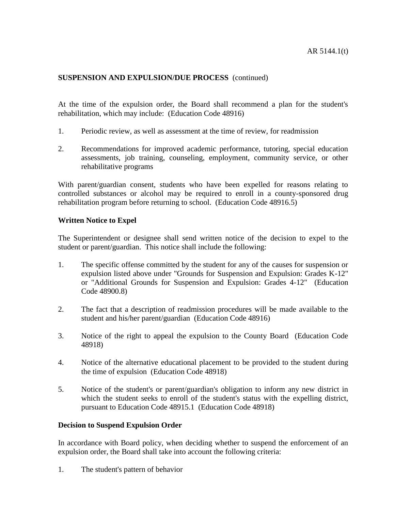At the time of the expulsion order, the Board shall recommend a plan for the student's rehabilitation, which may include: (Education Code 48916)

- 1. Periodic review, as well as assessment at the time of review, for readmission
- 2. Recommendations for improved academic performance, tutoring, special education assessments, job training, counseling, employment, community service, or other rehabilitative programs

With parent/guardian consent, students who have been expelled for reasons relating to controlled substances or alcohol may be required to enroll in a county-sponsored drug rehabilitation program before returning to school. (Education Code 48916.5)

#### **Written Notice to Expel**

The Superintendent or designee shall send written notice of the decision to expel to the student or parent/guardian. This notice shall include the following:

- 1. The specific offense committed by the student for any of the causes for suspension or expulsion listed above under "Grounds for Suspension and Expulsion: Grades K-12" or "Additional Grounds for Suspension and Expulsion: Grades 4-12" (Education Code 48900.8)
- 2. The fact that a description of readmission procedures will be made available to the student and his/her parent/guardian (Education Code 48916)
- 3. Notice of the right to appeal the expulsion to the County Board (Education Code 48918)
- 4. Notice of the alternative educational placement to be provided to the student during the time of expulsion (Education Code 48918)
- 5. Notice of the student's or parent/guardian's obligation to inform any new district in which the student seeks to enroll of the student's status with the expelling district, pursuant to Education Code 48915.1 (Education Code 48918)

## **Decision to Suspend Expulsion Order**

In accordance with Board policy, when deciding whether to suspend the enforcement of an expulsion order, the Board shall take into account the following criteria:

1. The student's pattern of behavior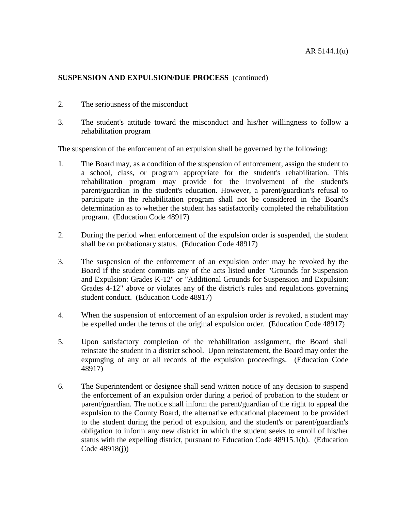- 2. The seriousness of the misconduct
- 3. The student's attitude toward the misconduct and his/her willingness to follow a rehabilitation program

The suspension of the enforcement of an expulsion shall be governed by the following:

- 1. The Board may, as a condition of the suspension of enforcement, assign the student to a school, class, or program appropriate for the student's rehabilitation. This rehabilitation program may provide for the involvement of the student's parent/guardian in the student's education. However, a parent/guardian's refusal to participate in the rehabilitation program shall not be considered in the Board's determination as to whether the student has satisfactorily completed the rehabilitation program. (Education Code 48917)
- 2. During the period when enforcement of the expulsion order is suspended, the student shall be on probationary status. (Education Code 48917)
- 3. The suspension of the enforcement of an expulsion order may be revoked by the Board if the student commits any of the acts listed under "Grounds for Suspension and Expulsion: Grades K-12" or "Additional Grounds for Suspension and Expulsion: Grades 4-12" above or violates any of the district's rules and regulations governing student conduct. (Education Code 48917)
- 4. When the suspension of enforcement of an expulsion order is revoked, a student may be expelled under the terms of the original expulsion order. (Education Code 48917)
- 5. Upon satisfactory completion of the rehabilitation assignment, the Board shall reinstate the student in a district school. Upon reinstatement, the Board may order the expunging of any or all records of the expulsion proceedings. (Education Code 48917)
- 6. The Superintendent or designee shall send written notice of any decision to suspend the enforcement of an expulsion order during a period of probation to the student or parent/guardian. The notice shall inform the parent/guardian of the right to appeal the expulsion to the County Board, the alternative educational placement to be provided to the student during the period of expulsion, and the student's or parent/guardian's obligation to inform any new district in which the student seeks to enroll of his/her status with the expelling district, pursuant to Education Code 48915.1(b). (Education Code 48918(j))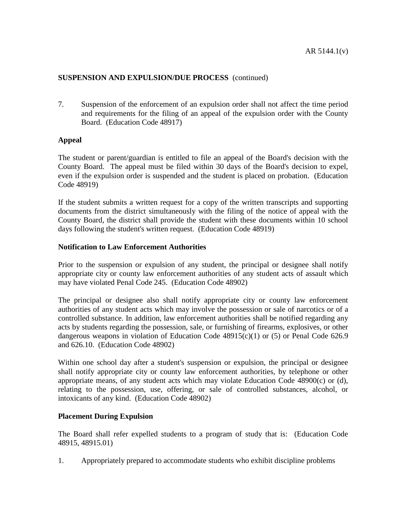7. Suspension of the enforcement of an expulsion order shall not affect the time period and requirements for the filing of an appeal of the expulsion order with the County Board. (Education Code 48917)

## **Appeal**

The student or parent/guardian is entitled to file an appeal of the Board's decision with the County Board. The appeal must be filed within 30 days of the Board's decision to expel, even if the expulsion order is suspended and the student is placed on probation. (Education Code 48919)

If the student submits a written request for a copy of the written transcripts and supporting documents from the district simultaneously with the filing of the notice of appeal with the County Board, the district shall provide the student with these documents within 10 school days following the student's written request. (Education Code 48919)

## **Notification to Law Enforcement Authorities**

Prior to the suspension or expulsion of any student, the principal or designee shall notify appropriate city or county law enforcement authorities of any student acts of assault which may have violated Penal Code 245. (Education Code 48902)

The principal or designee also shall notify appropriate city or county law enforcement authorities of any student acts which may involve the possession or sale of narcotics or of a controlled substance. In addition, law enforcement authorities shall be notified regarding any acts by students regarding the possession, sale, or furnishing of firearms, explosives, or other dangerous weapons in violation of Education Code  $48915(c)(1)$  or (5) or Penal Code 626.9 and 626.10. (Education Code 48902)

Within one school day after a student's suspension or expulsion, the principal or designee shall notify appropriate city or county law enforcement authorities, by telephone or other appropriate means, of any student acts which may violate Education Code 48900(c) or (d), relating to the possession, use, offering, or sale of controlled substances, alcohol, or intoxicants of any kind. (Education Code 48902)

## **Placement During Expulsion**

The Board shall refer expelled students to a program of study that is: (Education Code 48915, 48915.01)

1. Appropriately prepared to accommodate students who exhibit discipline problems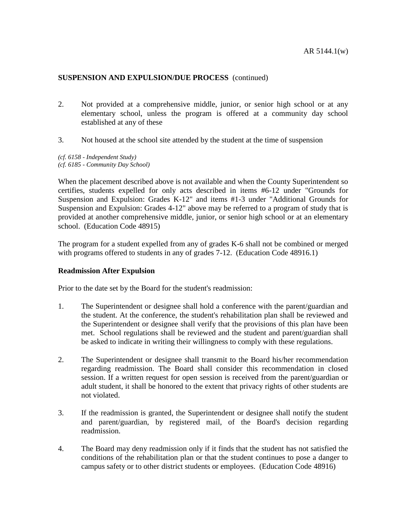- 2. Not provided at a comprehensive middle, junior, or senior high school or at any elementary school, unless the program is offered at a community day school established at any of these
- 3. Not housed at the school site attended by the student at the time of suspension

*(cf. 6158 - Independent Study) (cf. 6185 - Community Day School)*

When the placement described above is not available and when the County Superintendent so certifies, students expelled for only acts described in items #6-12 under "Grounds for Suspension and Expulsion: Grades K-12" and items #1-3 under "Additional Grounds for Suspension and Expulsion: Grades 4-12" above may be referred to a program of study that is provided at another comprehensive middle, junior, or senior high school or at an elementary school. (Education Code 48915)

The program for a student expelled from any of grades K-6 shall not be combined or merged with programs offered to students in any of grades 7-12. (Education Code 48916.1)

## **Readmission After Expulsion**

Prior to the date set by the Board for the student's readmission:

- 1. The Superintendent or designee shall hold a conference with the parent/guardian and the student. At the conference, the student's rehabilitation plan shall be reviewed and the Superintendent or designee shall verify that the provisions of this plan have been met. School regulations shall be reviewed and the student and parent/guardian shall be asked to indicate in writing their willingness to comply with these regulations.
- 2. The Superintendent or designee shall transmit to the Board his/her recommendation regarding readmission. The Board shall consider this recommendation in closed session. If a written request for open session is received from the parent/guardian or adult student, it shall be honored to the extent that privacy rights of other students are not violated.
- 3. If the readmission is granted, the Superintendent or designee shall notify the student and parent/guardian, by registered mail, of the Board's decision regarding readmission.
- 4. The Board may deny readmission only if it finds that the student has not satisfied the conditions of the rehabilitation plan or that the student continues to pose a danger to campus safety or to other district students or employees. (Education Code 48916)